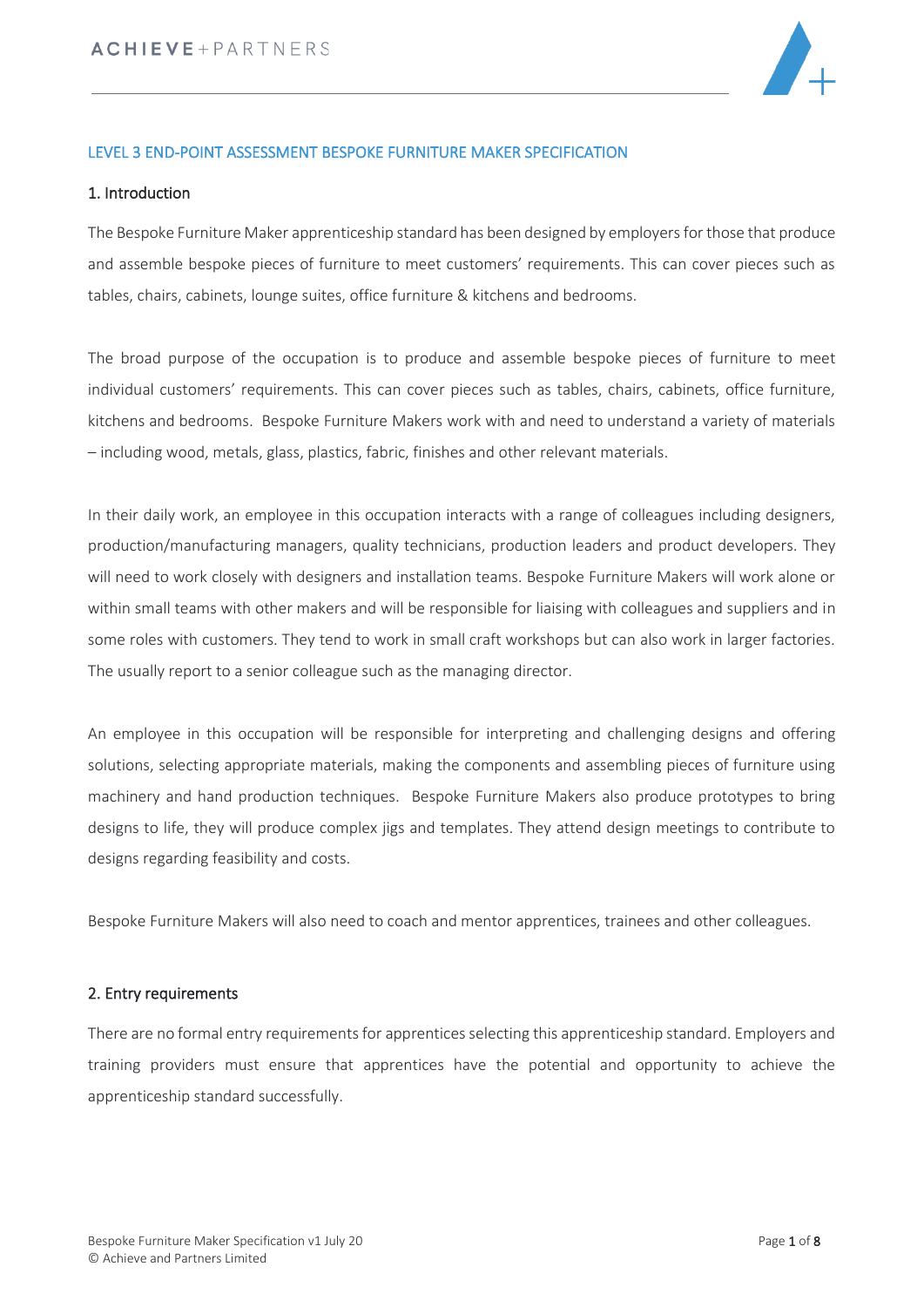

### LEVEL 3 END-POINT ASSESSMENT BESPOKE FURNITURE MAKER SPECIFICATION

#### 1. Introduction

The Bespoke Furniture Maker apprenticeship standard has been designed by employersfor those that produce and assemble bespoke pieces of furniture to meet customers' requirements. This can cover pieces such as tables, chairs, cabinets, lounge suites, office furniture & kitchens and bedrooms.

The broad purpose of the occupation is to produce and assemble bespoke pieces of furniture to meet individual customers' requirements. This can cover pieces such as tables, chairs, cabinets, office furniture, kitchens and bedrooms. Bespoke Furniture Makers work with and need to understand a variety of materials – including wood, metals, glass, plastics, fabric, finishes and other relevant materials.

In their daily work, an employee in this occupation interacts with a range of colleagues including designers, production/manufacturing managers, quality technicians, production leaders and product developers. They will need to work closely with designers and installation teams. Bespoke Furniture Makers will work alone or within small teams with other makers and will be responsible for liaising with colleagues and suppliers and in some roles with customers. They tend to work in small craft workshops but can also work in larger factories. The usually report to a senior colleague such as the managing director.

An employee in this occupation will be responsible for interpreting and challenging designs and offering solutions, selecting appropriate materials, making the components and assembling pieces of furniture using machinery and hand production techniques. Bespoke Furniture Makers also produce prototypes to bring designs to life, they will produce complex jigs and templates. They attend design meetings to contribute to designs regarding feasibility and costs.

Bespoke Furniture Makers will also need to coach and mentor apprentices, trainees and other colleagues.

#### 2. Entry requirements

There are no formal entry requirements for apprentices selecting this apprenticeship standard. Employers and training providers must ensure that apprentices have the potential and opportunity to achieve the apprenticeship standard successfully.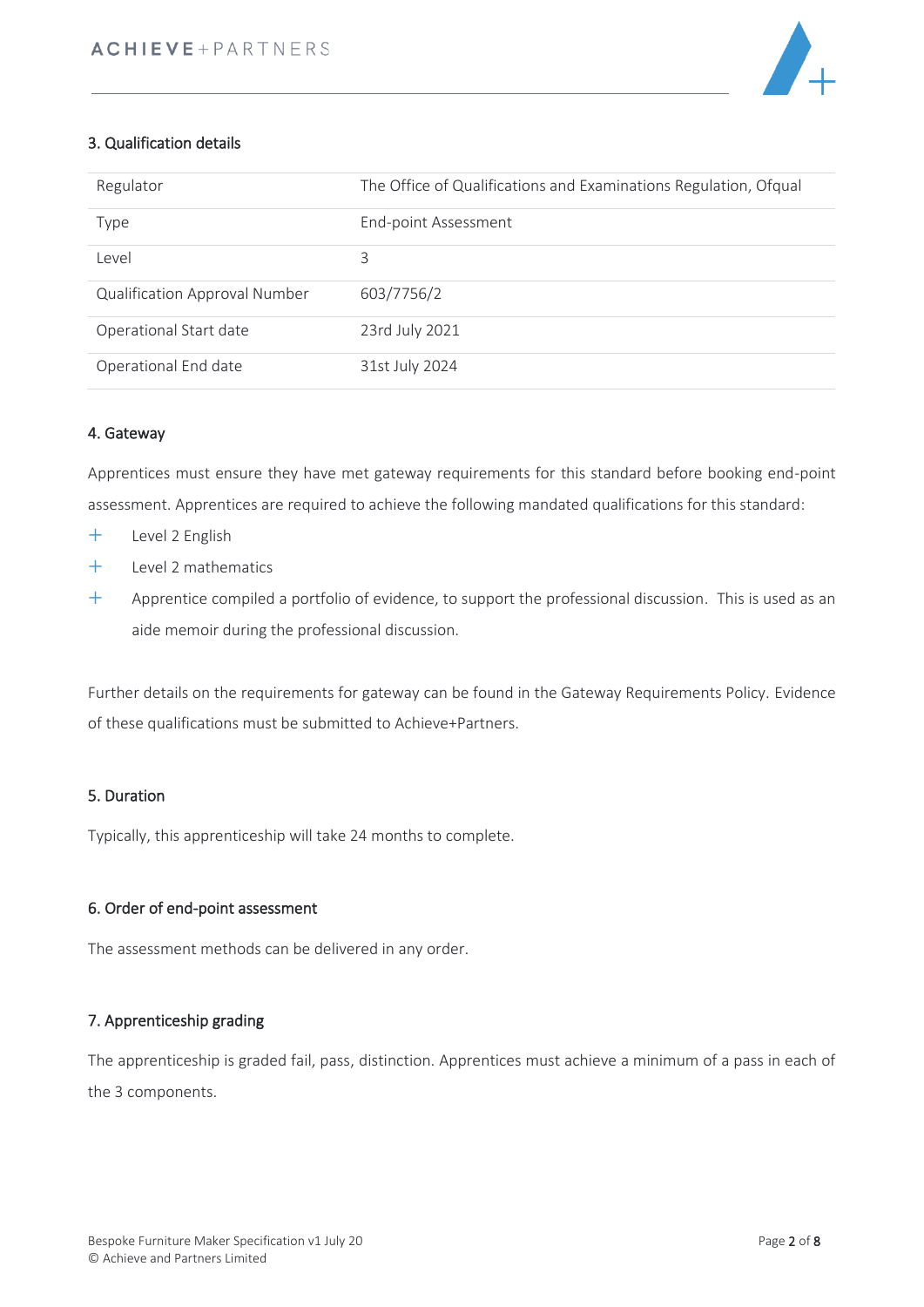

# 3. Qualification details

| Regulator                            | The Office of Qualifications and Examinations Regulation, Ofqual |
|--------------------------------------|------------------------------------------------------------------|
| Type                                 | End-point Assessment                                             |
| Level                                | 3                                                                |
| <b>Qualification Approval Number</b> | 603/7756/2                                                       |
| Operational Start date               | 23rd July 2021                                                   |
| Operational End date                 | 31st July 2024                                                   |

# 4. Gateway

Apprentices must ensure they have met gateway requirements for this standard before booking end-point assessment. Apprentices are required to achieve the following mandated qualifications for this standard:

- Level 2 English
- Level 2 mathematics
- $+$  Apprentice compiled a portfolio of evidence, to support the professional discussion. This is used as an aide memoir during the professional discussion.

Further details on the requirements for gateway can be found in the Gateway Requirements Policy. Evidence of these qualifications must be submitted to Achieve+Partners.

## 5. Duration

Typically, this apprenticeship will take 24 months to complete.

#### 6. Order of end-point assessment

The assessment methods can be delivered in any order.

#### 7. Apprenticeship grading

The apprenticeship is graded fail, pass, distinction. Apprentices must achieve a minimum of a pass in each of the 3 components.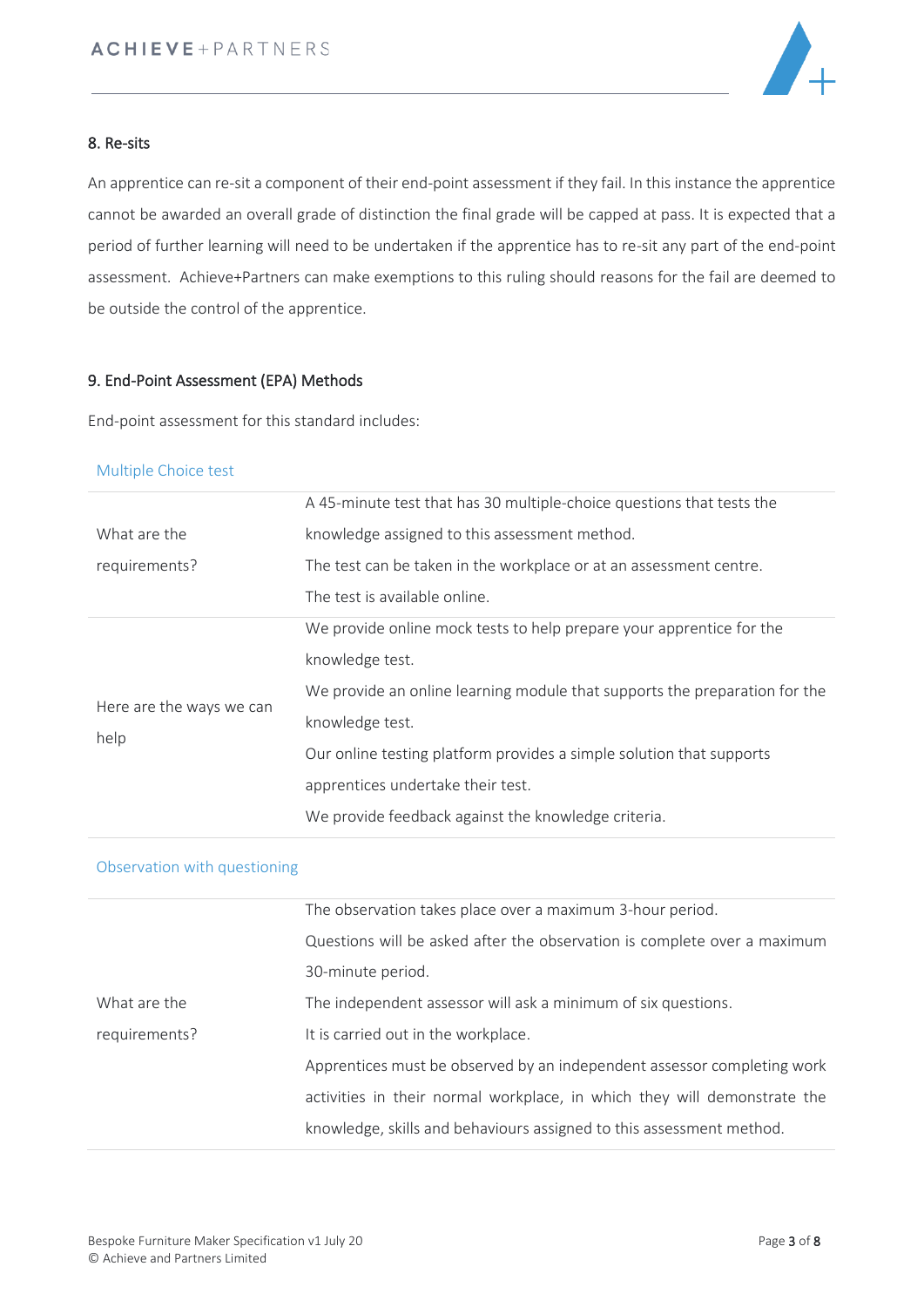

## 8. Re-sits

An apprentice can re-sit a component of their end-point assessment if they fail. In this instance the apprentice cannot be awarded an overall grade of distinction the final grade will be capped at pass. It is expected that a period of further learning will need to be undertaken if the apprentice has to re-sit any part of the end-point assessment. Achieve+Partners can make exemptions to this ruling should reasons for the fail are deemed to be outside the control of the apprentice.

#### 9. End-Point Assessment (EPA) Methods

End-point assessment for this standard includes:

#### Multiple Choice test

|                          | A 45-minute test that has 30 multiple-choice questions that tests the      |
|--------------------------|----------------------------------------------------------------------------|
| What are the             | knowledge assigned to this assessment method.                              |
| requirements?            | The test can be taken in the workplace or at an assessment centre.         |
|                          | The test is available online.                                              |
|                          | We provide online mock tests to help prepare your apprentice for the       |
|                          | knowledge test.                                                            |
| Here are the ways we can | We provide an online learning module that supports the preparation for the |
| help                     | knowledge test.                                                            |
|                          | Our online testing platform provides a simple solution that supports       |
|                          | apprentices undertake their test.                                          |
|                          | We provide feedback against the knowledge criteria.                        |
|                          |                                                                            |

#### Observation with questioning

|               | The observation takes place over a maximum 3-hour period.                |
|---------------|--------------------------------------------------------------------------|
|               | Questions will be asked after the observation is complete over a maximum |
|               | 30-minute period.                                                        |
| What are the  | The independent assessor will ask a minimum of six questions.            |
| requirements? | It is carried out in the workplace.                                      |
|               | Apprentices must be observed by an independent assessor completing work  |
|               | activities in their normal workplace, in which they will demonstrate the |
|               | knowledge, skills and behaviours assigned to this assessment method.     |
|               |                                                                          |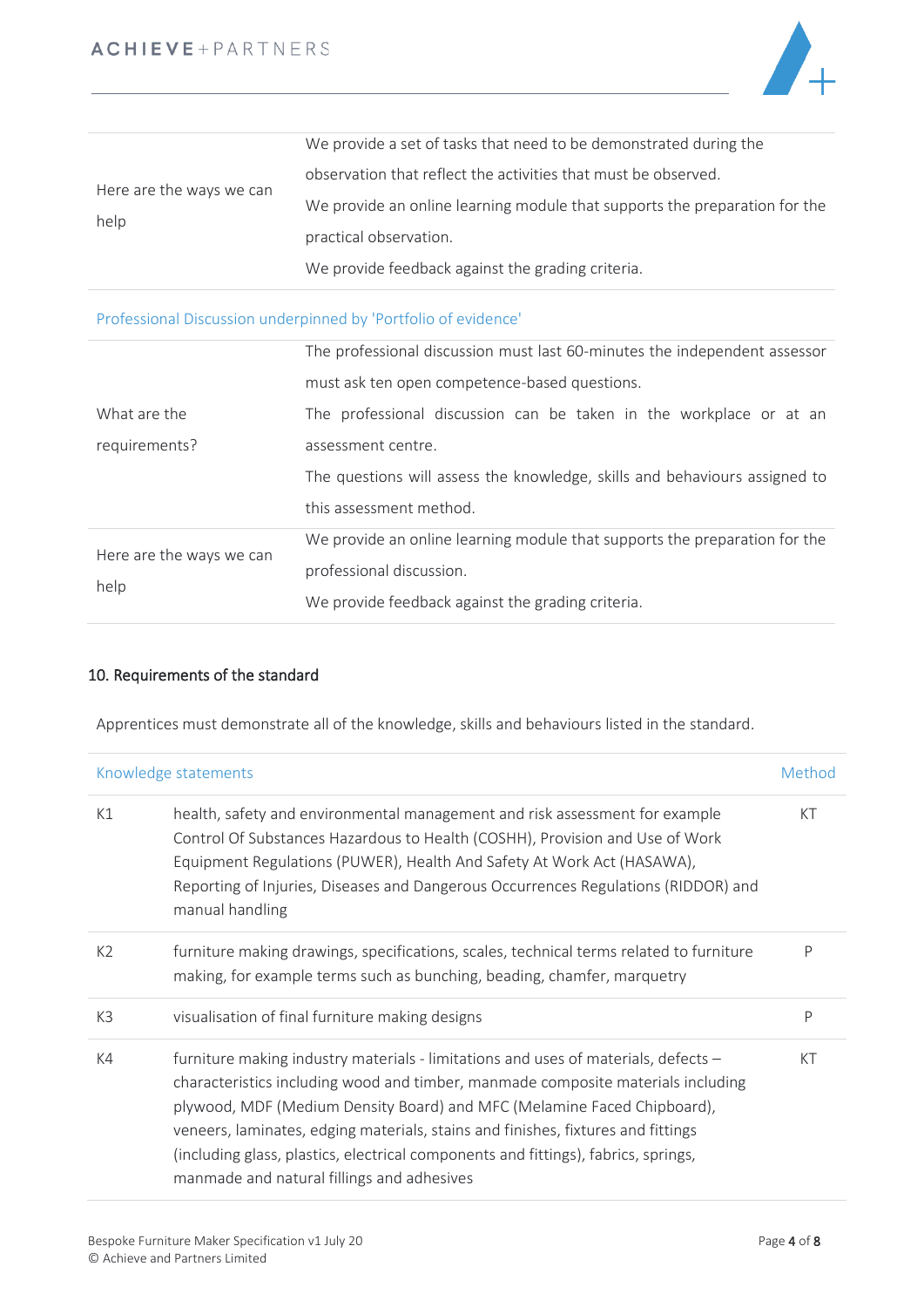

|                          | We provide a set of tasks that need to be demonstrated during the          |
|--------------------------|----------------------------------------------------------------------------|
|                          | observation that reflect the activities that must be observed.             |
| Here are the ways we can | We provide an online learning module that supports the preparation for the |
| help                     | practical observation.                                                     |
|                          | We provide feedback against the grading criteria.                          |

Professional Discussion underpinned by 'Portfolio of evidence'

|                          | The professional discussion must last 60-minutes the independent assessor  |
|--------------------------|----------------------------------------------------------------------------|
|                          | must ask ten open competence-based questions.                              |
| What are the             | The professional discussion can be taken in the workplace or at an         |
| requirements?            | assessment centre.                                                         |
|                          | The questions will assess the knowledge, skills and behaviours assigned to |
|                          | this assessment method.                                                    |
| Here are the ways we can | We provide an online learning module that supports the preparation for the |
| help                     | professional discussion.                                                   |
|                          | We provide feedback against the grading criteria.                          |

# 10. Requirements of the standard

Apprentices must demonstrate all of the knowledge, skills and behaviours listed in the standard.

| Knowledge statements |                                                                                                                                                                                                                                                                                                                                                                                                                                                                           | Method |
|----------------------|---------------------------------------------------------------------------------------------------------------------------------------------------------------------------------------------------------------------------------------------------------------------------------------------------------------------------------------------------------------------------------------------------------------------------------------------------------------------------|--------|
| K1                   | health, safety and environmental management and risk assessment for example<br>Control Of Substances Hazardous to Health (COSHH), Provision and Use of Work<br>Equipment Regulations (PUWER), Health And Safety At Work Act (HASAWA),<br>Reporting of Injuries, Diseases and Dangerous Occurrences Regulations (RIDDOR) and<br>manual handling                                                                                                                            | KT     |
| K <sub>2</sub>       | furniture making drawings, specifications, scales, technical terms related to furniture<br>making, for example terms such as bunching, beading, chamfer, marquetry                                                                                                                                                                                                                                                                                                        | P      |
| K <sub>3</sub>       | visualisation of final furniture making designs                                                                                                                                                                                                                                                                                                                                                                                                                           | P      |
| K4                   | furniture making industry materials - limitations and uses of materials, defects -<br>characteristics including wood and timber, manmade composite materials including<br>plywood, MDF (Medium Density Board) and MFC (Melamine Faced Chipboard),<br>veneers, laminates, edging materials, stains and finishes, fixtures and fittings<br>(including glass, plastics, electrical components and fittings), fabrics, springs,<br>manmade and natural fillings and adhesives | KT     |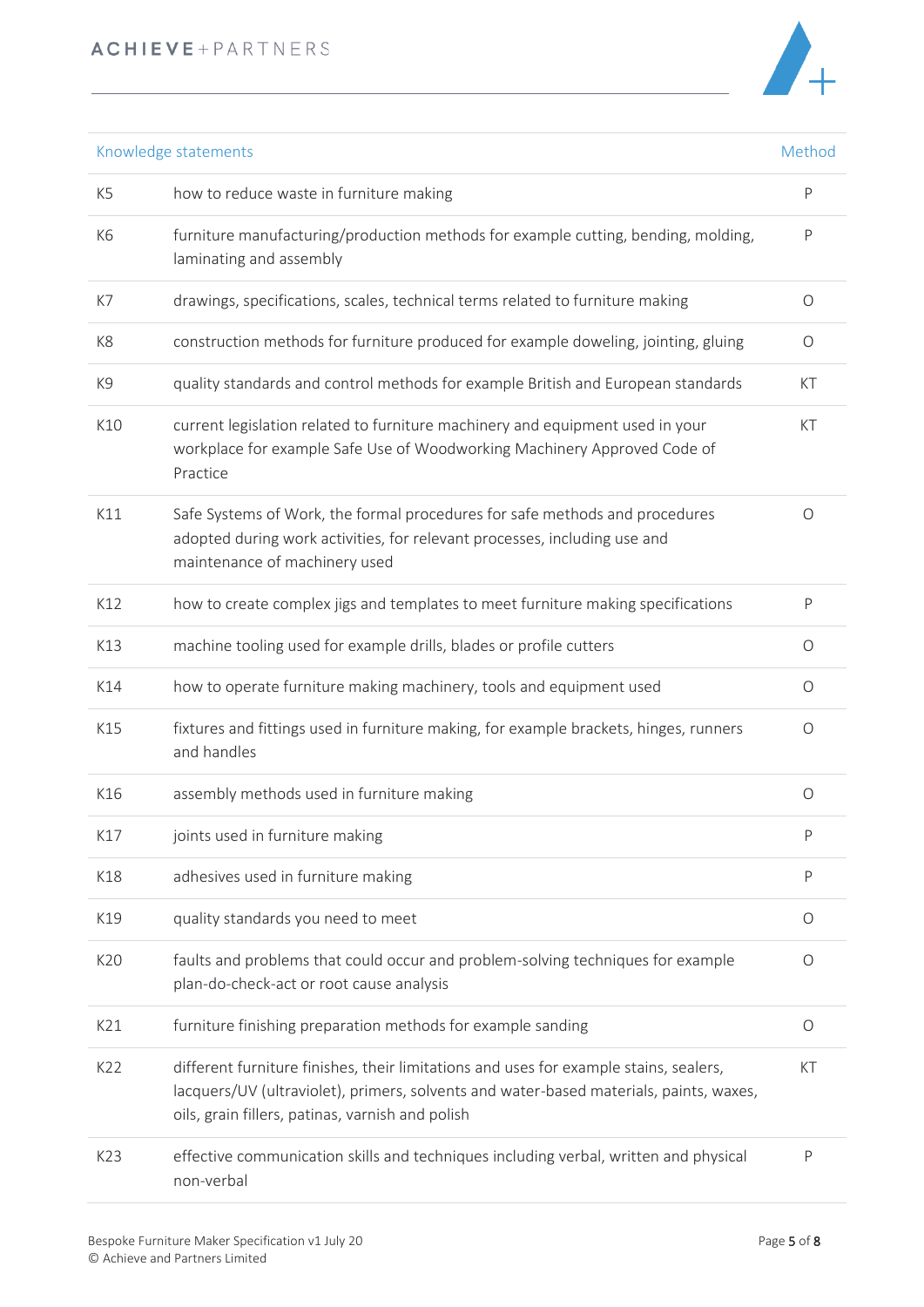

| Knowledge statements |                                                                                                                                                                                                                                     | Method     |
|----------------------|-------------------------------------------------------------------------------------------------------------------------------------------------------------------------------------------------------------------------------------|------------|
| K <sub>5</sub>       | how to reduce waste in furniture making                                                                                                                                                                                             | P          |
| K <sub>6</sub>       | furniture manufacturing/production methods for example cutting, bending, molding,<br>laminating and assembly                                                                                                                        | P          |
| K7                   | drawings, specifications, scales, technical terms related to furniture making                                                                                                                                                       | $\circ$    |
| K8                   | construction methods for furniture produced for example doweling, jointing, gluing                                                                                                                                                  | O          |
| K9                   | quality standards and control methods for example British and European standards                                                                                                                                                    | КT         |
| K10                  | current legislation related to furniture machinery and equipment used in your<br>workplace for example Safe Use of Woodworking Machinery Approved Code of<br>Practice                                                               | КT         |
| K11                  | Safe Systems of Work, the formal procedures for safe methods and procedures<br>adopted during work activities, for relevant processes, including use and<br>maintenance of machinery used                                           | $\bigcirc$ |
| K12                  | how to create complex jigs and templates to meet furniture making specifications                                                                                                                                                    | P          |
| K13                  | machine tooling used for example drills, blades or profile cutters                                                                                                                                                                  | O          |
| K14                  | how to operate furniture making machinery, tools and equipment used                                                                                                                                                                 | O          |
| K15                  | fixtures and fittings used in furniture making, for example brackets, hinges, runners<br>and handles                                                                                                                                | O          |
| K16                  | assembly methods used in furniture making                                                                                                                                                                                           | $\circ$    |
| K17                  | joints used in furniture making                                                                                                                                                                                                     | P          |
| K18                  | adhesives used in furniture making                                                                                                                                                                                                  | P          |
| K19                  | quality standards you need to meet                                                                                                                                                                                                  | O          |
| K20                  | faults and problems that could occur and problem-solving techniques for example<br>plan-do-check-act or root cause analysis                                                                                                         | O          |
| K21                  | furniture finishing preparation methods for example sanding                                                                                                                                                                         | $\circ$    |
| K22                  | different furniture finishes, their limitations and uses for example stains, sealers,<br>lacquers/UV (ultraviolet), primers, solvents and water-based materials, paints, waxes,<br>oils, grain fillers, patinas, varnish and polish | KT         |
| K23                  | effective communication skills and techniques including verbal, written and physical<br>non-verbal                                                                                                                                  | P          |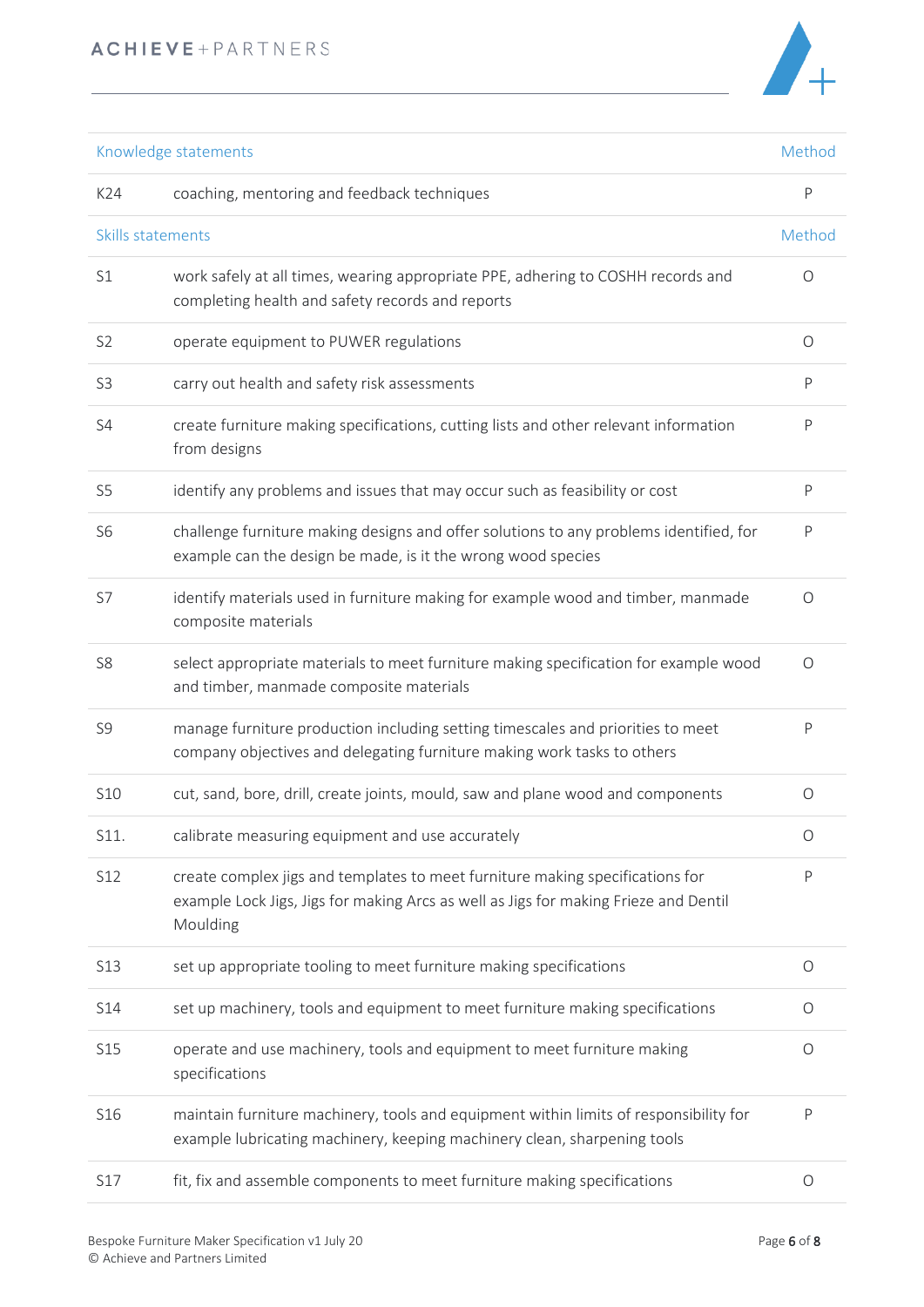

| Knowledge statements |                                                                                                                                                                                   | Method       |
|----------------------|-----------------------------------------------------------------------------------------------------------------------------------------------------------------------------------|--------------|
| K24                  | coaching, mentoring and feedback techniques                                                                                                                                       | P            |
| Skills statements    |                                                                                                                                                                                   | Method       |
| S1                   | work safely at all times, wearing appropriate PPE, adhering to COSHH records and<br>completing health and safety records and reports                                              | 0            |
| S <sub>2</sub>       | operate equipment to PUWER regulations                                                                                                                                            | $\circ$      |
| S <sub>3</sub>       | carry out health and safety risk assessments                                                                                                                                      | P            |
| S4                   | create furniture making specifications, cutting lists and other relevant information<br>from designs                                                                              | P            |
| S <sub>5</sub>       | identify any problems and issues that may occur such as feasibility or cost                                                                                                       | P            |
| S <sub>6</sub>       | challenge furniture making designs and offer solutions to any problems identified, for<br>example can the design be made, is it the wrong wood species                            | P            |
| S7                   | identify materials used in furniture making for example wood and timber, manmade<br>composite materials                                                                           | 0            |
| S <sub>8</sub>       | select appropriate materials to meet furniture making specification for example wood<br>and timber, manmade composite materials                                                   | $\circ$      |
| S9                   | manage furniture production including setting timescales and priorities to meet<br>company objectives and delegating furniture making work tasks to others                        | P            |
| <b>S10</b>           | cut, sand, bore, drill, create joints, mould, saw and plane wood and components                                                                                                   | 0            |
| S11.                 | calibrate measuring equipment and use accurately                                                                                                                                  | Ő            |
| S12                  | create complex jigs and templates to meet furniture making specifications for<br>example Lock Jigs, Jigs for making Arcs as well as Jigs for making Frieze and Dentil<br>Moulding | $\mathsf{P}$ |
| S13                  | set up appropriate tooling to meet furniture making specifications                                                                                                                | $\circ$      |
| S14                  | set up machinery, tools and equipment to meet furniture making specifications                                                                                                     | $\circ$      |
| <b>S15</b>           | operate and use machinery, tools and equipment to meet furniture making<br>specifications                                                                                         | $\circ$      |
| S16                  | maintain furniture machinery, tools and equipment within limits of responsibility for<br>example lubricating machinery, keeping machinery clean, sharpening tools                 | P            |
| S17                  | fit, fix and assemble components to meet furniture making specifications                                                                                                          | $\circ$      |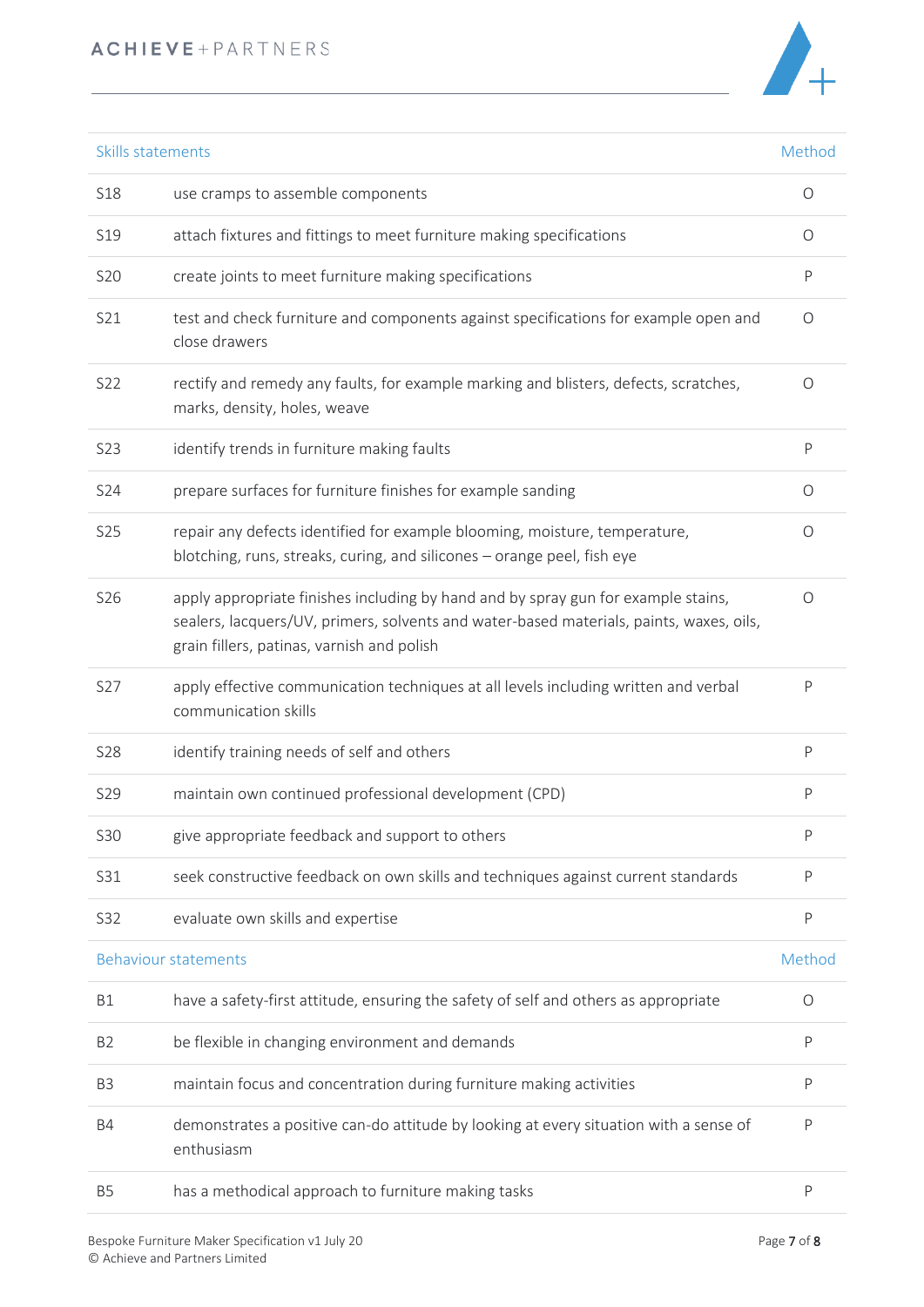# ACHIEVE+PARTNERS



|                | Skills statements<br>Method                                                                                                                                                                                                |              |
|----------------|----------------------------------------------------------------------------------------------------------------------------------------------------------------------------------------------------------------------------|--------------|
| <b>S18</b>     | use cramps to assemble components                                                                                                                                                                                          | O            |
| S19            | attach fixtures and fittings to meet furniture making specifications                                                                                                                                                       | O            |
| <b>S20</b>     | create joints to meet furniture making specifications                                                                                                                                                                      | $\mathsf{P}$ |
| S21            | test and check furniture and components against specifications for example open and<br>close drawers                                                                                                                       | 0            |
| S22            | rectify and remedy any faults, for example marking and blisters, defects, scratches,<br>marks, density, holes, weave                                                                                                       | O            |
| S23            | identify trends in furniture making faults                                                                                                                                                                                 | P            |
| S24            | prepare surfaces for furniture finishes for example sanding                                                                                                                                                                | O            |
| <b>S25</b>     | repair any defects identified for example blooming, moisture, temperature,<br>blotching, runs, streaks, curing, and silicones - orange peel, fish eye                                                                      | O            |
| S26            | apply appropriate finishes including by hand and by spray gun for example stains,<br>sealers, lacquers/UV, primers, solvents and water-based materials, paints, waxes, oils,<br>grain fillers, patinas, varnish and polish | O            |
| S27            | apply effective communication techniques at all levels including written and verbal<br>communication skills                                                                                                                | P            |
| <b>S28</b>     | identify training needs of self and others                                                                                                                                                                                 | P            |
| <b>S29</b>     | maintain own continued professional development (CPD)                                                                                                                                                                      | P            |
| <b>S30</b>     | give appropriate feedback and support to others                                                                                                                                                                            | P            |
| S31            | seek constructive feedback on own skills and techniques against current standards                                                                                                                                          | P            |
| S32            | evaluate own skills and expertise                                                                                                                                                                                          | P            |
|                | <b>Behaviour statements</b>                                                                                                                                                                                                | Method       |
| B1             | have a safety-first attitude, ensuring the safety of self and others as appropriate                                                                                                                                        | 0            |
| B <sub>2</sub> | be flexible in changing environment and demands                                                                                                                                                                            | P            |
| B <sub>3</sub> | maintain focus and concentration during furniture making activities                                                                                                                                                        | P            |
| B4             | demonstrates a positive can-do attitude by looking at every situation with a sense of<br>enthusiasm                                                                                                                        | P            |
| <b>B5</b>      | has a methodical approach to furniture making tasks                                                                                                                                                                        | P            |